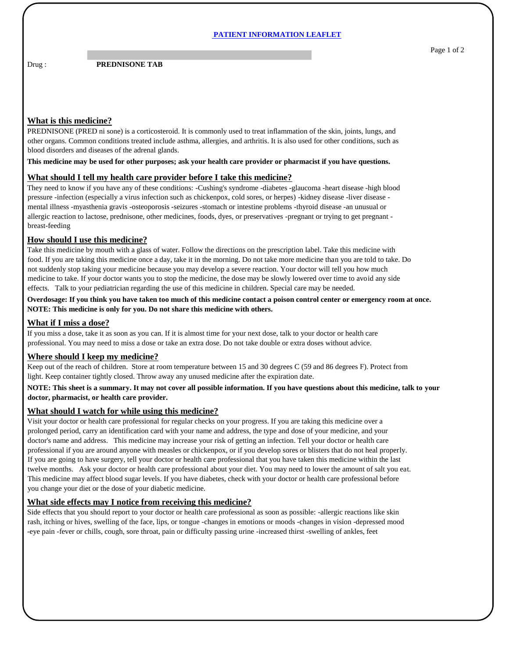#### **PATIENT INFORMATION LEAFLET**

Drug : **PREDNISONE TAB** 

Page 1 of 2

## **What is this medicine?**

PREDNISONE (PRED ni sone) is a corticosteroid. It is commonly used to treat inflammation of the skin, joints, lungs, and other organs. Common conditions treated include asthma, allergies, and arthritis. It is also used for other conditions, such as blood disorders and diseases of the adrenal glands.

#### **This medicine may be used for other purposes; ask your health care provider or pharmacist if you have questions.**

#### **What should I tell my health care provider before I take this medicine?**

They need to know if you have any of these conditions: -Cushing's syndrome -diabetes -glaucoma -heart disease -high blood pressure -infection (especially a virus infection such as chickenpox, cold sores, or herpes) -kidney disease -liver disease mental illness -myasthenia gravis -osteoporosis -seizures -stomach or intestine problems -thyroid disease -an unusual or allergic reaction to lactose, prednisone, other medicines, foods, dyes, or preservatives -pregnant or trying to get pregnant breast-feeding

# **How should I use this medicine?**

Take this medicine by mouth with a glass of water. Follow the directions on the prescription label. Take this medicine with food. If you are taking this medicine once a day, take it in the morning. Do not take more medicine than you are told to take. Do not suddenly stop taking your medicine because you may develop a severe reaction. Your doctor will tell you how much medicine to take. If your doctor wants you to stop the medicine, the dose may be slowly lowered over time to avoid any side effects. Talk to your pediatrician regarding the use of this medicine in children. Special care may be needed.

### **Overdosage: If you think you have taken too much of this medicine contact a poison control center or emergency room at once. NOTE: This medicine is only for you. Do not share this medicine with others.**

# **What if I miss a dose?**

If you miss a dose, take it as soon as you can. If it is almost time for your next dose, talk to your doctor or health care professional. You may need to miss a dose or take an extra dose. Do not take double or extra doses without advice.

# **Where should I keep my medicine?**

Keep out of the reach of children. Store at room temperature between 15 and 30 degrees C (59 and 86 degrees F). Protect from light. Keep container tightly closed. Throw away any unused medicine after the expiration date.

**NOTE: This sheet is a summary. It may not cover all possible information. If you have questions about this medicine, talk to your doctor, pharmacist, or health care provider.**

## **What should I watch for while using this medicine?**

Visit your doctor or health care professional for regular checks on your progress. If you are taking this medicine over a prolonged period, carry an identification card with your name and address, the type and dose of your medicine, and your doctor's name and address. This medicine may increase your risk of getting an infection. Tell your doctor or health care professional if you are around anyone with measles or chickenpox, or if you develop sores or blisters that do not heal properly. If you are going to have surgery, tell your doctor or health care professional that you have taken this medicine within the last twelve months. Ask your doctor or health care professional about your diet. You may need to lower the amount of salt you eat. This medicine may affect blood sugar levels. If you have diabetes, check with your doctor or health care professional before you change your diet or the dose of your diabetic medicine.

#### **What side effects may I notice from receiving this medicine?**

Side effects that you should report to your doctor or health care professional as soon as possible: -allergic reactions like skin rash, itching or hives, swelling of the face, lips, or tongue -changes in emotions or moods -changes in vision -depressed mood -eye pain -fever or chills, cough, sore throat, pain or difficulty passing urine -increased thirst -swelling of ankles, feet